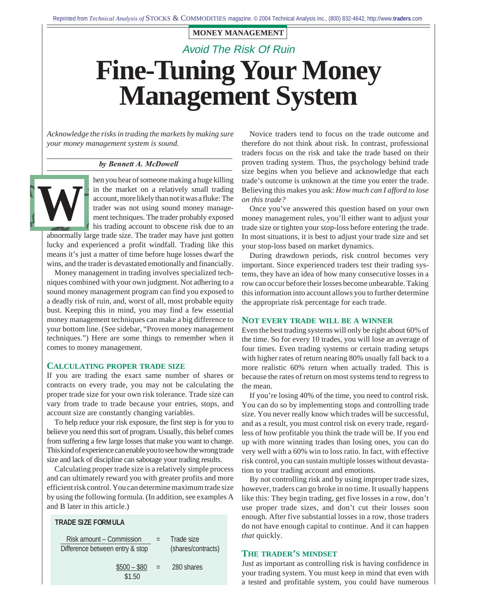# Avoid The Risk Of Ruin **Fine-Tuning Your Money Management System**

*Acknowledge the risks in trading the markets by making sure your money management system is sound.*

#### *by Bennett A. McDowell*

hen you hear of someone making a huge killing in the market on a relatively small trading account, more likely than not it was a fluke: The trader was not using sound money management techniques. The trader probably exposed his trading account to obscene risk due to an **W**

abnormally large trade size. The trader may have just gotten lucky and experienced a profit windfall. Trading like this means it's just a matter of time before huge losses dwarf the wins, and the trader is devastated emotionally and financially.

Money management in trading involves specialized techniques combined with your own judgment. Not adhering to a sound money management program can find you exposed to a deadly risk of ruin, and, worst of all, most probable equity bust. Keeping this in mind, you may find a few essential money management techniques can make a big difference to your bottom line. (See sidebar, "Proven money management techniques.") Here are some things to remember when it comes to money management.

#### **CALCULATING PROPER TRADE SIZE**

If you are trading the exact same number of shares or contracts on every trade, you may not be calculating the proper trade size for your own risk tolerance. Trade size can vary from trade to trade because your entries, stops, and account size are constantly changing variables.

To help reduce your risk exposure, the first step is for you to believe you need this sort of program. Usually, this belief comes from suffering a few large losses that make you want to change. This kind of experience can enable you to see how the wrong trade size and lack of discipline can sabotage your trading results.

Calculating proper trade size is a relatively simple process and can ultimately reward you with greater profits and more efficient risk control. You can determine maximum trade size by using the following formula. (In addition, see examples A and B later in this article.)

| Risk amount – Commission<br>Difference between entry & stop |     | Trade size<br>(shares/contracts) |
|-------------------------------------------------------------|-----|----------------------------------|
| $$500 - $80$<br>\$1.50                                      | $=$ | 280 shares                       |

**TRADE SIZE FORMULA** 

Novice traders tend to focus on the trade outcome and therefore do not think about risk. In contrast, professional traders focus on the risk and take the trade based on their proven trading system. Thus, the psychology behind trade size begins when you believe and acknowledge that each trade's outcome is unknown at the time you enter the trade. Believing this makes you ask: *How much can I afford to lose on this trade?*

Once you've answered this question based on your own money management rules, you'll either want to adjust your trade size or tighten your stop-loss before entering the trade. In most situations, it is best to adjust your trade size and set your stop-loss based on market dynamics.

During drawdown periods, risk control becomes very important. Since experienced traders test their trading systems, they have an idea of how many consecutive losses in a row can occur before their losses become unbearable. Taking this information into account allows you to further determine the appropriate risk percentage for each trade.

#### **NOT EVERY TRADE WILL BE A WINNER**

Even the best trading systems will only be right about 60% of the time. So for every 10 trades, you will lose an average of four times. Even trading systems or certain trading setups with higher rates of return nearing 80% usually fall back to a more realistic 60% return when actually traded. This is because the rates of return on most systems tend to regress to the mean.

If you're losing 40% of the time, you need to control risk. You can do so by implementing stops and controlling trade size. You never really know which trades will be successful, and as a result, you must control risk on every trade, regardless of how profitable you think the trade will be. If you end up with more winning trades than losing ones, you can do very well with a 60% win to loss ratio. In fact, with effective risk control, you can sustain multiple losses without devastation to your trading account and emotions.

By not controlling risk and by using improper trade sizes, however, traders can go broke in no time. It usually happens like this: They begin trading, get five losses in a row, don't use proper trade sizes, and don't cut their losses soon enough. After five substantial losses in a row, those traders do not have enough capital to continue. And it can happen *that* quickly.

#### **THE TRADER'S MINDSET**

Just as important as controlling risk is having confidence in your trading system. You must keep in mind that even with a tested and profitable system, you could have numerous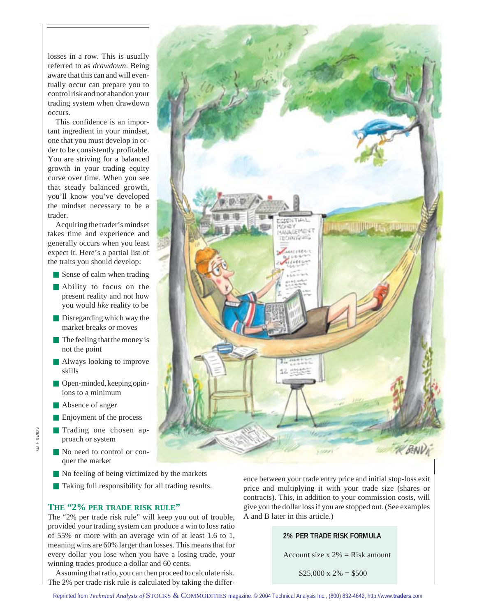losses in a row. This is usually referred to as *drawdown*. Being aware that this can and will eventually occur can prepare you to control risk and not abandon your trading system when drawdown occurs.

This confidence is an important ingredient in your mindset, one that you must develop in order to be consistently profitable. You are striving for a balanced growth in your trading equity curve over time. When you see that steady balanced growth, you'll know you've developed the mindset necessary to be a trader.

Acquiring the trader's mindset takes time and experience and generally occurs when you least expect it. Here's a partial list of the traits you should develop:

- Sense of calm when trading
- Ability to focus on the present reality and not how you would *like* reality to be
- Disregarding which way the market breaks or moves
- The feeling that the money is not the point
- Always looking to improve skills
- Open-minded, keeping opinions to a minimum
- Absence of anger
- Enjoyment of the process
- Trading one chosen approach or system
- No need to control or conquer the market
- No feeling of being victimized by the markets
- Taking full responsibility for all trading results.

#### **THE "2% PER TRADE RISK RULE"**

The "2% per trade risk rule" will keep you out of trouble, provided your trading system can produce a win to loss ratio of 55% or more with an average win of at least 1.6 to 1, meaning wins are 60% larger than losses. This means that for every dollar you lose when you have a losing trade, your winning trades produce a dollar and 60 cents.

Assuming that ratio, you can then proceed to calculate risk. The 2% per trade risk rule is calculated by taking the differ-



ence between your trade entry price and initial stop-loss exit price and multiplying it with your trade size (shares or contracts). This, in addition to your commission costs, will give you the dollar loss if you are stopped out. (See examples A and B later in this article.)

### **2% PER TRADE RISK FORMULA**

Account size  $x 2\% =$ Risk amount

 $$25,000 \times 2\% = $500$ 

**GITH BENDIS** KEITH BENDIS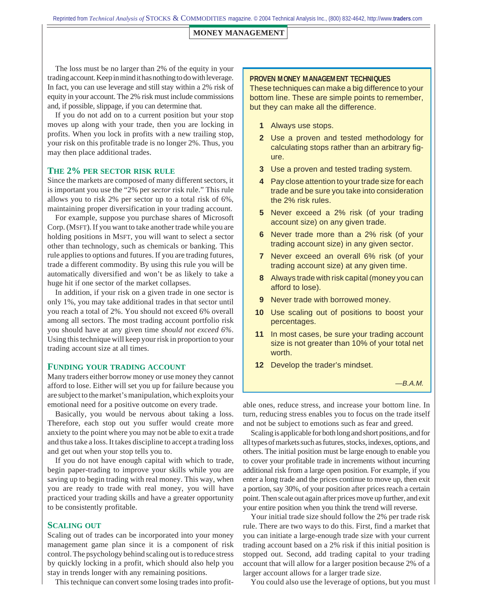Reprinted from *Technical Analysis of* STOCKS & COMMODITIES magazine. © 2004 Technical Analysis Inc., (800) 832-4642, [http://www.](http://www.traders.com/)**traders**.com

### **MONEY MANAGEMENT**

The loss must be no larger than 2% of the equity in your trading account. Keep in mind it has nothing to do with leverage. In fact, you can use leverage and still stay within a 2% risk of equity in your account. The 2% risk must include commissions and, if possible, slippage, if you can determine that.

If you do not add on to a current position but your stop moves up along with your trade, then you are locking in profits. When you lock in profits with a new trailing stop, your risk on this profitable trade is no longer 2%. Thus, you may then place additional trades.

## **THE 2% PER SECTOR RISK RULE**

Since the markets are composed of many different sectors, it is important you use the "2% per *sector* risk rule." This rule allows you to risk 2% per sector up to a total risk of 6%, maintaining proper diversification in your trading account.

For example, suppose you purchase shares of Microsoft Corp. (MSFT). If you want to take another trade while you are holding positions in MSFT, you will want to select a sector other than technology, such as chemicals or banking. This rule applies to options and futures. If you are trading futures, trade a different commodity. By using this rule you will be automatically diversified and won't be as likely to take a huge hit if one sector of the market collapses.

In addition, if your risk on a given trade in one sector is only 1%, you may take additional trades in that sector until you reach a total of 2%. You should not exceed 6% overall among all sectors. The most trading account portfolio risk you should have at any given time *should not exceed 6%*. Using this technique will keep your risk in proportion to your trading account size at all times.

#### **FUNDING YOUR TRADING ACCOUNT**

Many traders either borrow money or use money they cannot afford to lose. Either will set you up for failure because you are subject to the market's manipulation, which exploits your emotional need for a positive outcome on every trade.

Basically, you would be nervous about taking a loss. Therefore, each stop out you suffer would create more anxiety to the point where you may not be able to exit a trade and thus take a loss. It takes discipline to accept a trading loss and get out when your stop tells you to.

If you do not have enough capital with which to trade, begin paper-trading to improve your skills while you are saving up to begin trading with real money. This way, when you are ready to trade with real money, you will have practiced your trading skills and have a greater opportunity to be consistently profitable.

# **SCALING OUT**

Scaling out of trades can be incorporated into your money management game plan since it is a component of risk control. The psychology behind scaling out is to reduce stress by quickly locking in a profit, which should also help you stay in trends longer with any remaining positions.

This technique can convert some losing trades into profit-

#### **PROVEN MONEY MANAGEMENT TECHNIQUES**

These techniques can make a big difference to your bottom line. These are simple points to remember, but they can make all the difference.

- **1** Always use stops.
- **2** Use a proven and tested methodology for calculating stops rather than an arbitrary figure.
- **3** Use a proven and tested trading system.
- **4** Pay close attention to your trade size for each trade and be sure you take into consideration the 2% risk rules.
- **5** Never exceed a 2% risk (of your trading account size) on any given trade.
- **6** Never trade more than a 2% risk (of your trading account size) in any given sector.
- **7** Never exceed an overall 6% risk (of your trading account size) at any given time.
- **8** Always trade with risk capital (money you can afford to lose).
- **9** Never trade with borrowed money.
- **10** Use scaling out of positions to boost your percentages.
- **11** In most cases, be sure your trading account size is not greater than 10% of your total net worth.
- **12** Develop the trader's mindset.

—B.A.M.

able ones, reduce stress, and increase your bottom line. In turn, reducing stress enables you to focus on the trade itself and not be subject to emotions such as fear and greed.

Scaling is applicable for both long and short positions, and for all types of markets such as futures, stocks, indexes, options, and others. The initial position must be large enough to enable you to cover your profitable trade in increments without incurring additional risk from a large open position. For example, if you enter a long trade and the prices continue to move up, then exit a portion, say 30%, of your position after prices reach a certain point. Then scale out again after prices move up further, and exit your entire position when you think the trend will reverse.

Your initial trade size should follow the 2% per trade risk rule. There are two ways to do this. First, find a market that you can initiate a large-enough trade size with your current trading account based on a 2% risk if this initial position is stopped out. Second, add trading capital to your trading account that will allow for a larger position because 2% of a larger account allows for a larger trade size.

You could also use the leverage of options, but you must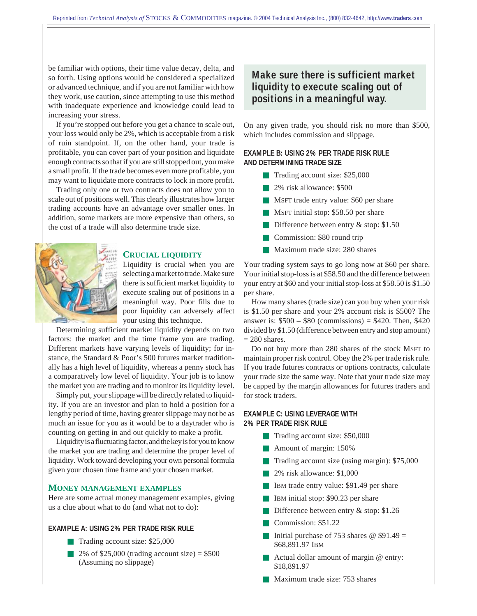be familiar with options, their time value decay, delta, and so forth. Using options would be considered a specialized or advanced technique, and if you are not familiar with how they work, use caution, since attempting to use this method with inadequate experience and knowledge could lead to increasing your stress.

If you're stopped out before you get a chance to scale out, your loss would only be 2%, which is acceptable from a risk of ruin standpoint. If, on the other hand, your trade is profitable, you can cover part of your position and liquidate enough contracts so that if you are still stopped out, you make a small profit. If the trade becomes even more profitable, you may want to liquidate more contracts to lock in more profit.

Trading only one or two contracts does not allow you to scale out of positions well. This clearly illustrates how larger trading accounts have an advantage over smaller ones. In addition, some markets are more expensive than others, so the cost of a trade will also determine trade size.



#### **CRUCIAL LIQUIDITY**

Liquidity is crucial when you are selecting a market to trade. Make sure there is sufficient market liquidity to execute scaling out of positions in a meaningful way. Poor fills due to poor liquidity can adversely affect your using this technique.

Determining sufficient market liquidity depends on two factors: the market and the time frame you are trading. Different markets have varying levels of liquidity; for instance, the Standard & Poor's 500 futures market traditionally has a high level of liquidity, whereas a penny stock has a comparatively low level of liquidity. Your job is to know the market you are trading and to monitor its liquidity level.

Simply put, your slippage will be directly related to liquidity. If you are an investor and plan to hold a position for a lengthy period of time, having greater slippage may not be as much an issue for you as it would be to a daytrader who is counting on getting in and out quickly to make a profit.

Liquidity is a fluctuating factor, and the key is for you to know the market you are trading and determine the proper level of liquidity. Work toward developing your own personal formula given your chosen time frame and your chosen market.

#### **MONEY MANAGEMENT EXAMPLES**

Here are some actual money management examples, giving us a clue about what to do (and what not to do):

### **EXAMPLE A: USING 2% PER TRADE RISK RULE**

- Trading account size: \$25,000
- $\blacksquare$  2% of \$25,000 (trading account size) = \$500 (Assuming no slippage)

# **Make sure there is sufficient market liquidity to execute scaling out of positions in a meaningful way.**

On any given trade, you should risk no more than \$500, which includes commission and slippage.

# **EXAMPLE B: USING 2% PER TRADE RISK RULE AND DETERMINING TRADE SIZE**

- Trading account size: \$25,000
- 2% risk allowance: \$500
- MSFT trade entry value: \$60 per share
- MSFT initial stop: \$58.50 per share
- Difference between entry & stop: \$1.50
- Commission: \$80 round trip
- Maximum trade size: 280 shares

Your trading system says to go long now at \$60 per share. Your initial stop-loss is at \$58.50 and the difference between your entry at \$60 and your initial stop-loss at \$58.50 is \$1.50 per share.

How many shares (trade size) can you buy when your risk is \$1.50 per share and your 2% account risk is \$500? The answer is:  $$500 - $80$  (commissions) = \$420. Then, \$420 divided by \$1.50 (difference between entry and stop amount)  $= 280$  shares.

Do not buy more than 280 shares of the stock MSFT to maintain proper risk control. Obey the 2% per trade risk rule. If you trade futures contracts or options contracts, calculate your trade size the same way. Note that your trade size may be capped by the margin allowances for futures traders and for stock traders.

# **EXAMPLE C: USING LEVERAGE WITH 2% PER TRADE RISK RULE**

- Trading account size: \$50,000
- Amount of margin: 150%
- Trading account size (using margin): \$75,000
- 2% risk allowance: \$1,000
- IBM trade entry value: \$91.49 per share
- IBM initial stop: \$90.23 per share
- Difference between entry  $&$  stop: \$1.26
- Commission: \$51.22
- Initial purchase of 753 shares  $\omega$  \$91.49 = \$68,891.97 IBM
- Actual dollar amount of margin @ entry: \$18,891.97
- Maximum trade size: 753 shares